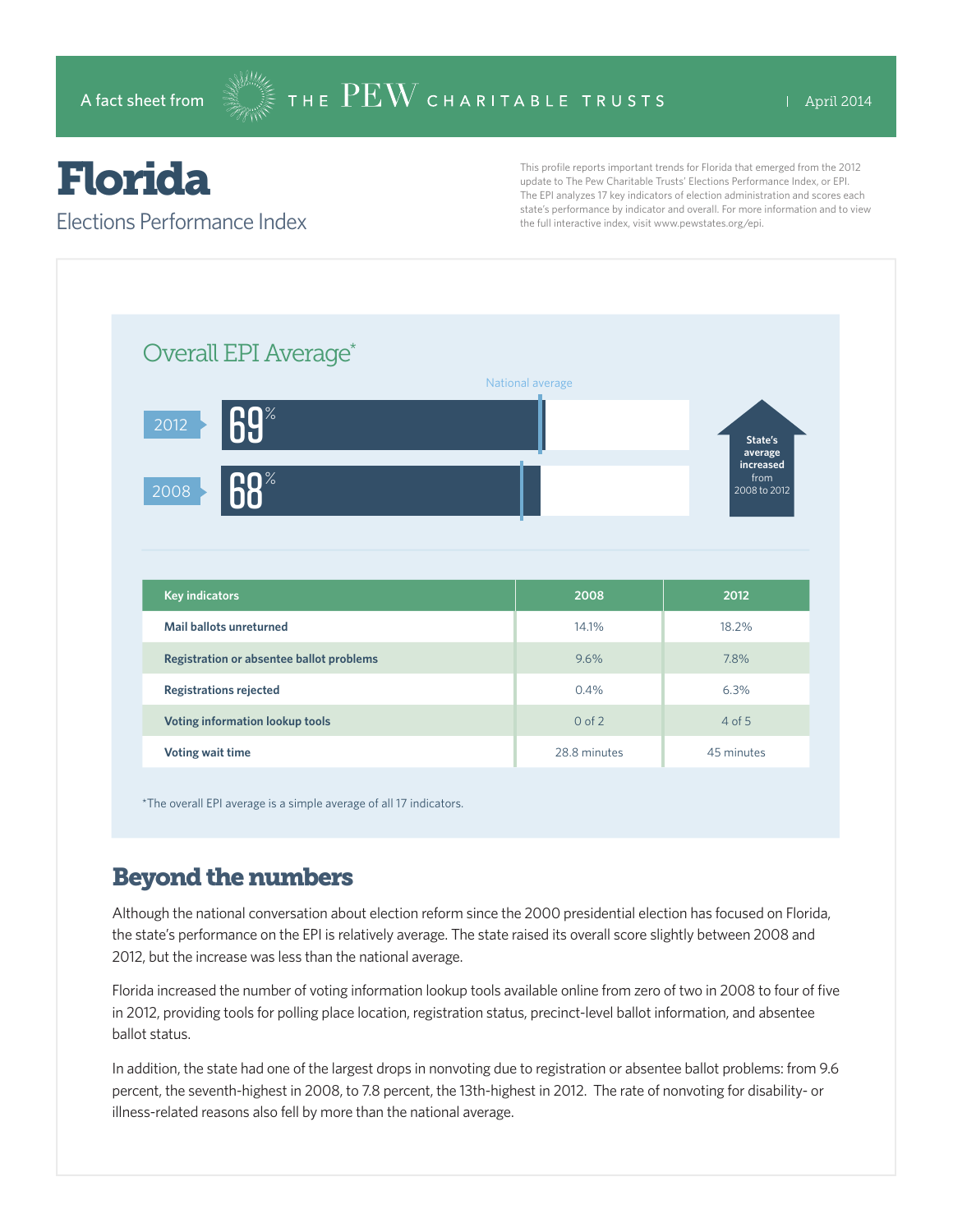# Florida

#### Elections Performance Index

This profile reports important trends for Florida that emerged from the 2012 update to The Pew Charitable Trusts' Elections Performance Index, or EPI. The EPI analyzes 17 key indicators of election administration and scores each state's performance by indicator and overall. For more information and to view the full interactive index, visit www.pewstates.org/epi.



\*The overall EPI average is a simple average of all 17 indicators.

## Beyond the numbers

Although the national conversation about election reform since the 2000 presidential election has focused on Florida, the state's performance on the EPI is relatively average. The state raised its overall score slightly between 2008 and 2012, but the increase was less than the national average.

Florida increased the number of voting information lookup tools available online from zero of two in 2008 to four of five in 2012, providing tools for polling place location, registration status, precinct-level ballot information, and absentee ballot status.

In addition, the state had one of the largest drops in nonvoting due to registration or absentee ballot problems: from 9.6 percent, the seventh-highest in 2008, to 7.8 percent, the 13th-highest in 2012. The rate of nonvoting for disability- or illness-related reasons also fell by more than the national average.